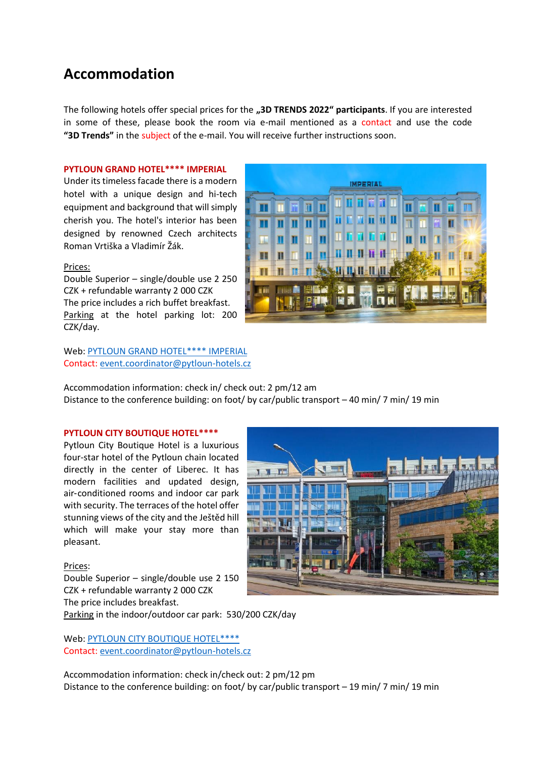# **Accommodation**

The following hotels offer special prices for the **"3D TRENDS 2022" participants**. If you are interested in some of these, please book the room via e-mail mentioned as a contact and use the code **"3D Trends"** in the subject of the e-mail. You will receive further instructions soon.

#### **PYTLOUN GRAND HOTEL\*\*\*\* IMPERIAL**

Under its timeless facade there is a modern hotel with a unique design and hi-tech equipment and background that will simply cherish you. The hotel's interior has been designed by renowned Czech architects Roman Vrtiška a Vladimír Žák.

### Prices:

Double Superior – single/double use 2 250 CZK + refundable warranty 2 000 CZK The price includes a rich buffet breakfast. Parking at the hotel parking lot: 200 CZK/day.

Web: [PYTLOUN GRAND HOTEL\\*\\*\\*\\* IMPERIAL](https://www.pytloungrandhotelimperial.cz/en/) Contact: [event.coordinator@pytloun-hotels.cz](mailto:event.coordinator@pytloun-hotels.cz)

Accommodation information: check in/ check out: 2 pm/12 am Distance to the conference building: on foot/ by car/public transport – 40 min/ 7 min/ 19 min

## **PYTLOUN CITY BOUTIQUE HOTEL\*\*\*\***

Pytloun City Boutique Hotel is a luxurious four-star hotel of the Pytloun chain located directly in the center of Liberec. It has modern facilities and updated design, air-conditioned rooms and indoor car park with security. The terraces of the hotel offer stunning views of the city and the Ještěd hill which will make your stay more than pleasant.

#### Prices:

Double Superior – single/double use 2 150 CZK + refundable warranty 2 000 CZK The price includes breakfast. Parking in the indoor/outdoor car park: 530/200 CZK/day

Web: [PYTLOUN CITY BOUTIQUE HOTEL\\*\\*\\*\\*](https://www.pytlouncityboutiquehotel.cz/en/)

Contact: [event.coordinator@pytloun-hotels.cz](mailto:event.coordinator@pytloun-hotels.cz)

Accommodation information: check in/check out: 2 pm/12 pm Distance to the conference building: on foot/ by car/public transport – 19 min/ 7 min/ 19 min